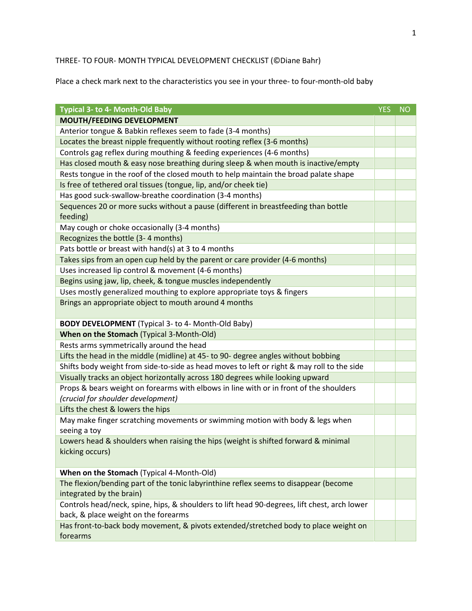## THREE- TO FOUR- MONTH TYPICAL DEVELOPMENT CHECKLIST (©Diane Bahr)

Place a check mark next to the characteristics you see in your three- to four-month-old baby

| <b>Typical 3- to 4- Month-Old Baby</b>                                                                                               | <b>YES</b> | <b>NO</b> |
|--------------------------------------------------------------------------------------------------------------------------------------|------------|-----------|
| <b>MOUTH/FEEDING DEVELOPMENT</b>                                                                                                     |            |           |
| Anterior tongue & Babkin reflexes seem to fade (3-4 months)                                                                          |            |           |
| Locates the breast nipple frequently without rooting reflex (3-6 months)                                                             |            |           |
| Controls gag reflex during mouthing & feeding experiences (4-6 months)                                                               |            |           |
| Has closed mouth & easy nose breathing during sleep & when mouth is inactive/empty                                                   |            |           |
| Rests tongue in the roof of the closed mouth to help maintain the broad palate shape                                                 |            |           |
| Is free of tethered oral tissues (tongue, lip, and/or cheek tie)                                                                     |            |           |
| Has good suck-swallow-breathe coordination (3-4 months)                                                                              |            |           |
| Sequences 20 or more sucks without a pause (different in breastfeeding than bottle<br>feeding)                                       |            |           |
| May cough or choke occasionally (3-4 months)                                                                                         |            |           |
| Recognizes the bottle (3-4 months)                                                                                                   |            |           |
| Pats bottle or breast with hand(s) at 3 to 4 months                                                                                  |            |           |
| Takes sips from an open cup held by the parent or care provider (4-6 months)                                                         |            |           |
| Uses increased lip control & movement (4-6 months)                                                                                   |            |           |
| Begins using jaw, lip, cheek, & tongue muscles independently                                                                         |            |           |
| Uses mostly generalized mouthing to explore appropriate toys & fingers                                                               |            |           |
| Brings an appropriate object to mouth around 4 months                                                                                |            |           |
| <b>BODY DEVELOPMENT</b> (Typical 3- to 4- Month-Old Baby)                                                                            |            |           |
| When on the Stomach (Typical 3-Month-Old)                                                                                            |            |           |
| Rests arms symmetrically around the head                                                                                             |            |           |
| Lifts the head in the middle (midline) at 45- to 90- degree angles without bobbing                                                   |            |           |
| Shifts body weight from side-to-side as head moves to left or right & may roll to the side                                           |            |           |
| Visually tracks an object horizontally across 180 degrees while looking upward                                                       |            |           |
| Props & bears weight on forearms with elbows in line with or in front of the shoulders<br>(crucial for shoulder development)         |            |           |
| Lifts the chest & lowers the hips                                                                                                    |            |           |
| May make finger scratching movements or swimming motion with body & legs when<br>seeing a toy                                        |            |           |
| Lowers head & shoulders when raising the hips (weight is shifted forward & minimal<br>kicking occurs)                                |            |           |
| When on the Stomach (Typical 4-Month-Old)                                                                                            |            |           |
| The flexion/bending part of the tonic labyrinthine reflex seems to disappear (become<br>integrated by the brain)                     |            |           |
| Controls head/neck, spine, hips, & shoulders to lift head 90-degrees, lift chest, arch lower<br>back, & place weight on the forearms |            |           |
| Has front-to-back body movement, & pivots extended/stretched body to place weight on<br>forearms                                     |            |           |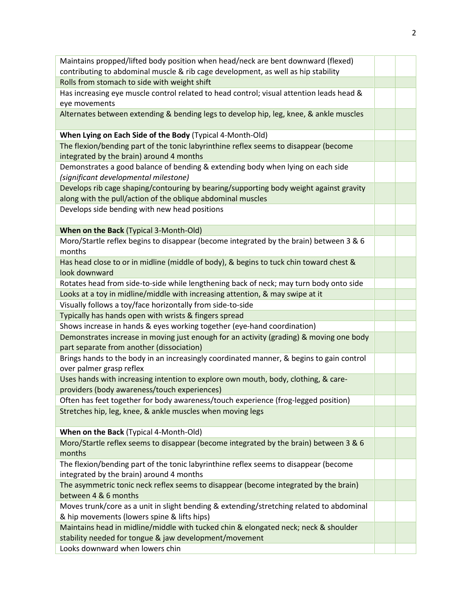| Maintains propped/lifted body position when head/neck are bent downward (flexed)                 |  |
|--------------------------------------------------------------------------------------------------|--|
| contributing to abdominal muscle & rib cage development, as well as hip stability                |  |
| Rolls from stomach to side with weight shift                                                     |  |
| Has increasing eye muscle control related to head control; visual attention leads head &         |  |
| eye movements                                                                                    |  |
| Alternates between extending & bending legs to develop hip, leg, knee, & ankle muscles           |  |
|                                                                                                  |  |
| When Lying on Each Side of the Body (Typical 4-Month-Old)                                        |  |
| The flexion/bending part of the tonic labyrinthine reflex seems to disappear (become             |  |
| integrated by the brain) around 4 months                                                         |  |
| Demonstrates a good balance of bending & extending body when lying on each side                  |  |
| (significant developmental milestone)                                                            |  |
| Develops rib cage shaping/contouring by bearing/supporting body weight against gravity           |  |
| along with the pull/action of the oblique abdominal muscles                                      |  |
| Develops side bending with new head positions                                                    |  |
|                                                                                                  |  |
| When on the Back (Typical 3-Month-Old)                                                           |  |
| Moro/Startle reflex begins to disappear (become integrated by the brain) between 3 & 6<br>months |  |
| Has head close to or in midline (middle of body), & begins to tuck chin toward chest &           |  |
| look downward                                                                                    |  |
| Rotates head from side-to-side while lengthening back of neck; may turn body onto side           |  |
| Looks at a toy in midline/middle with increasing attention, & may swipe at it                    |  |
| Visually follows a toy/face horizontally from side-to-side                                       |  |
| Typically has hands open with wrists & fingers spread                                            |  |
| Shows increase in hands & eyes working together (eye-hand coordination)                          |  |
| Demonstrates increase in moving just enough for an activity (grading) & moving one body          |  |
| part separate from another (dissociation)                                                        |  |
| Brings hands to the body in an increasingly coordinated manner, & begins to gain control         |  |
| over palmer grasp reflex                                                                         |  |
| Uses hands with increasing intention to explore own mouth, body, clothing, & care-               |  |
| providers (body awareness/touch experiences)                                                     |  |
| Often has feet together for body awareness/touch experience (frog-legged position)               |  |
| Stretches hip, leg, knee, & ankle muscles when moving legs                                       |  |
|                                                                                                  |  |
| When on the Back (Typical 4-Month-Old)                                                           |  |
| Moro/Startle reflex seems to disappear (become integrated by the brain) between 3 & 6<br>months  |  |
| The flexion/bending part of the tonic labyrinthine reflex seems to disappear (become             |  |
| integrated by the brain) around 4 months                                                         |  |
| The asymmetric tonic neck reflex seems to disappear (become integrated by the brain)             |  |
| between 4 & 6 months                                                                             |  |
| Moves trunk/core as a unit in slight bending & extending/stretching related to abdominal         |  |
| & hip movements (lowers spine & lifts hips)                                                      |  |
| Maintains head in midline/middle with tucked chin & elongated neck; neck & shoulder              |  |
| stability needed for tongue & jaw development/movement                                           |  |
| Looks downward when lowers chin                                                                  |  |
|                                                                                                  |  |